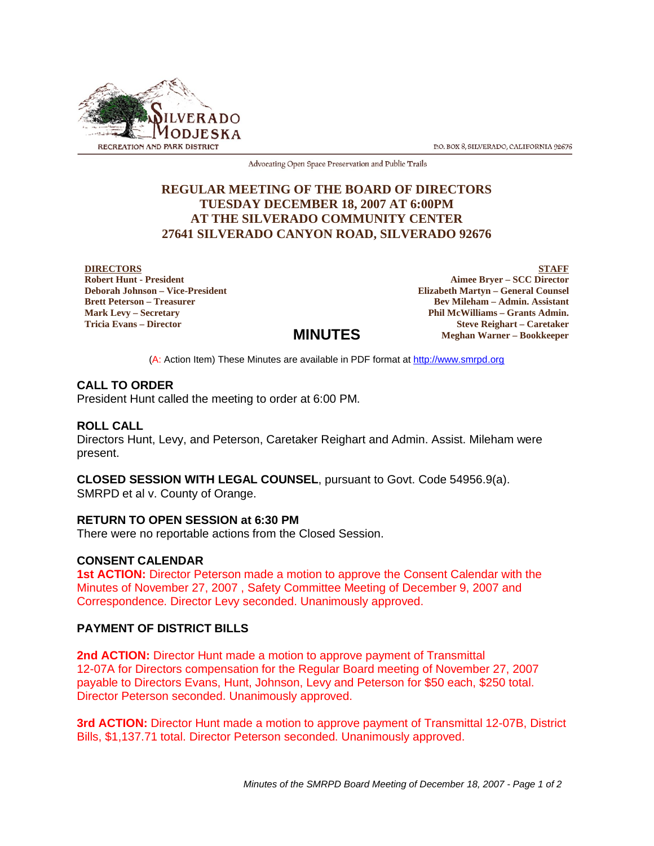

P.O. BOX 8, SILVERADO, CALIFORNIA 92676

Advocating Open Space Preservation and Public Trails

# **REGULAR MEETING OF THE BOARD OF DIRECTORS TUESDAY DECEMBER 18, 2007 AT 6:00PM AT THE SILVERADO COMMUNITY CENTER 27641 SILVERADO CANYON ROAD, SILVERADO 92676**

#### **DIRECTORS**

**Robert Hunt - President Deborah Johnson – Vice-President Brett Peterson – Treasurer Mark Levy – Secretary Tricia Evans – Director**

**STAFF Aimee Bryer – SCC Director Elizabeth Martyn – General Counsel Bev Mileham – Admin. Assistant Phil McWilliams – Grants Admin. Steve Reighart – Caretaker Meghan Warner – Bookkeeper**

(A: Action Item) These Minutes are available in PDF format at http://www.smrpd.org

**MINUTES**

## **CALL TO ORDER**

President Hunt called the meeting to order at 6:00 PM.

## **ROLL CALL**

Directors Hunt, Levy, and Peterson, Caretaker Reighart and Admin. Assist. Mileham were present.

**CLOSED SESSION WITH LEGAL COUNSEL**, pursuant to Govt. Code 54956.9(a). SMRPD et al v. County of Orange.

#### **RETURN TO OPEN SESSION at 6:30 PM**

There were no reportable actions from the Closed Session.

## **CONSENT CALENDAR**

**1st ACTION:** Director Peterson made a motion to approve the Consent Calendar with the Minutes of November 27, 2007 , Safety Committee Meeting of December 9, 2007 and Correspondence. Director Levy seconded. Unanimously approved.

## **PAYMENT OF DISTRICT BILLS**

**2nd ACTION:** Director Hunt made a motion to approve payment of Transmittal 12-07A for Directors compensation for the Regular Board meeting of November 27, 2007 payable to Directors Evans, Hunt, Johnson, Levy and Peterson for \$50 each, \$250 total. Director Peterson seconded. Unanimously approved.

**3rd ACTION:** Director Hunt made a motion to approve payment of Transmittal 12-07B, District Bills, \$1,137.71 total. Director Peterson seconded. Unanimously approved.